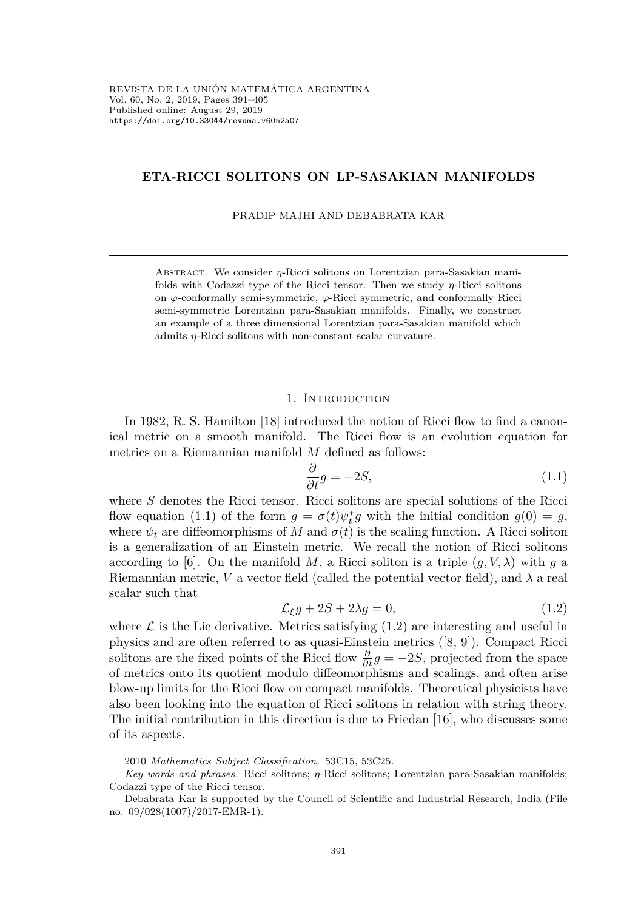# **ETA-RICCI SOLITONS ON LP-SASAKIAN MANIFOLDS**

PRADIP MAJHI AND DEBABRATA KAR

Abstract. We consider *η*-Ricci solitons on Lorentzian para-Sasakian manifolds with Codazzi type of the Ricci tensor. Then we study *η*-Ricci solitons on *ϕ*-conformally semi-symmetric, *ϕ*-Ricci symmetric, and conformally Ricci semi-symmetric Lorentzian para-Sasakian manifolds. Finally, we construct an example of a three dimensional Lorentzian para-Sasakian manifold which admits *η*-Ricci solitons with non-constant scalar curvature.

### 1. INTRODUCTION

In 1982, R. S. Hamilton [18] introduced the notion of Ricci flow to find a canonical metric on a smooth manifold. The Ricci flow is an evolution equation for metrics on a Riemannian manifold  $M$  defined as follows:

$$
\frac{\partial}{\partial t}g = -2S,\tag{1.1}
$$

where *S* denotes the Ricci tensor. Ricci solitons are special solutions of the Ricci flow equation (1.1) of the form  $g = \sigma(t)\psi_t^*g$  with the initial condition  $g(0) = g$ , where  $\psi_t$  are diffeomorphisms of *M* and  $\sigma(t)$  is the scaling function. A Ricci soliton is a generalization of an Einstein metric. We recall the notion of Ricci solitons according to [6]. On the manifold *M*, a Ricci soliton is a triple  $(q, V, \lambda)$  with *q* a Riemannian metric,  $V$  a vector field (called the potential vector field), and  $\lambda$  a real scalar such that

$$
\mathcal{L}_{\xi}g + 2S + 2\lambda g = 0,\tag{1.2}
$$

where  $\mathcal L$  is the Lie derivative. Metrics satisfying  $(1.2)$  are interesting and useful in physics and are often referred to as quasi-Einstein metrics ([8, 9]). Compact Ricci solitons are the fixed points of the Ricci flow  $\frac{\partial}{\partial t}g = -2S$ , projected from the space of metrics onto its quotient modulo diffeomorphisms and scalings, and often arise blow-up limits for the Ricci flow on compact manifolds. Theoretical physicists have also been looking into the equation of Ricci solitons in relation with string theory. The initial contribution in this direction is due to Friedan [16], who discusses some of its aspects.

<sup>2010</sup> *Mathematics Subject Classification.* 53C15, 53C25.

*Key words and phrases.* Ricci solitons; *η*-Ricci solitons; Lorentzian para-Sasakian manifolds; Codazzi type of the Ricci tensor.

Debabrata Kar is supported by the Council of Scientific and Industrial Research, India (File no. 09/028(1007)/2017-EMR-1).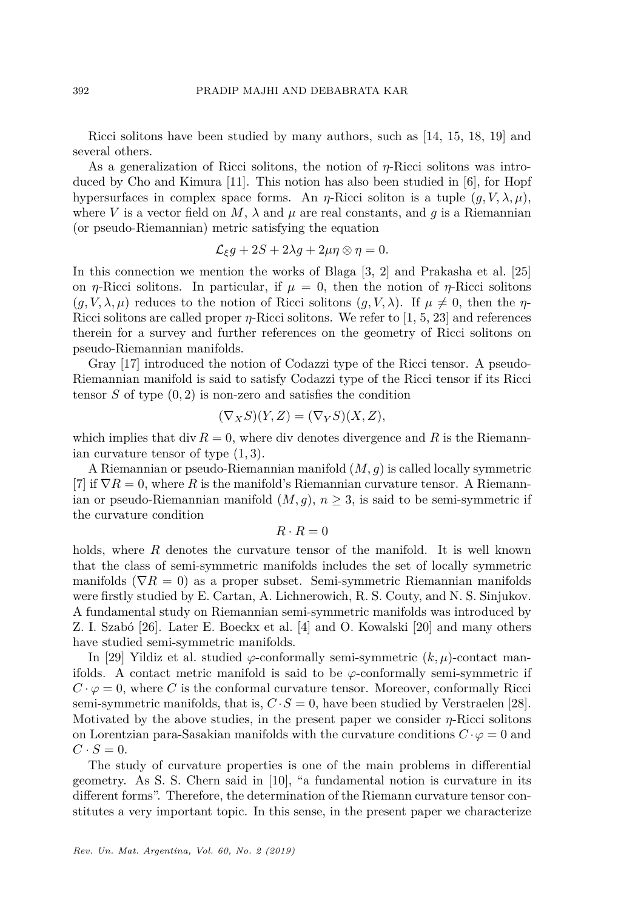Ricci solitons have been studied by many authors, such as [14, 15, 18, 19] and several others.

As a generalization of Ricci solitons, the notion of *η*-Ricci solitons was introduced by Cho and Kimura [11]. This notion has also been studied in [6], for Hopf hypersurfaces in complex space forms. An *η*-Ricci soliton is a tuple  $(q, V, \lambda, \mu)$ , where *V* is a vector field on *M*,  $\lambda$  and  $\mu$  are real constants, and *g* is a Riemannian (or pseudo-Riemannian) metric satisfying the equation

$$
\mathcal{L}_{\xi}g + 2S + 2\lambda g + 2\mu \eta \otimes \eta = 0.
$$

In this connection we mention the works of Blaga [3, 2] and Prakasha et al. [25] on *η*-Ricci solitons. In particular, if  $\mu = 0$ , then the notion of *η*-Ricci solitons  $(q, V, \lambda, \mu)$  reduces to the notion of Ricci solitons  $(q, V, \lambda)$ . If  $\mu \neq 0$ , then the *η*-Ricci solitons are called proper *η*-Ricci solitons. We refer to [1, 5, 23] and references therein for a survey and further references on the geometry of Ricci solitons on pseudo-Riemannian manifolds.

Gray [17] introduced the notion of Codazzi type of the Ricci tensor. A pseudo-Riemannian manifold is said to satisfy Codazzi type of the Ricci tensor if its Ricci tensor *S* of type (0*,* 2) is non-zero and satisfies the condition

$$
(\nabla_X S)(Y,Z) = (\nabla_Y S)(X,Z),
$$

which implies that div  $R = 0$ , where div denotes divergence and R is the Riemannian curvature tensor of type (1*,* 3).

A Riemannian or pseudo-Riemannian manifold (*M, g*) is called locally symmetric [7] if  $\nabla R = 0$ , where R is the manifold's Riemannian curvature tensor. A Riemannian or pseudo-Riemannian manifold  $(M, g)$ ,  $n \geq 3$ , is said to be semi-symmetric if the curvature condition

 $R \cdot R = 0$ 

holds, where *R* denotes the curvature tensor of the manifold. It is well known that the class of semi-symmetric manifolds includes the set of locally symmetric manifolds ( $\nabla R = 0$ ) as a proper subset. Semi-symmetric Riemannian manifolds were firstly studied by E. Cartan, A. Lichnerowich, R. S. Couty, and N. S. Sinjukov. A fundamental study on Riemannian semi-symmetric manifolds was introduced by Z. I. Szabó [26]. Later E. Boeckx et al. [4] and O. Kowalski [20] and many others have studied semi-symmetric manifolds.

In [29] Yildiz et al. studied  $\varphi$ -conformally semi-symmetric  $(k, \mu)$ -contact manifolds. A contact metric manifold is said to be  $\varphi$ -conformally semi-symmetric if  $C \cdot \varphi = 0$ , where *C* is the conformal curvature tensor. Moreover, conformally Ricci semi-symmetric manifolds, that is,  $C \cdot S = 0$ , have been studied by Verstraelen [28]. Motivated by the above studies, in the present paper we consider  $\eta$ -Ricci solitons on Lorentzian para-Sasakian manifolds with the curvature conditions  $C \cdot \varphi = 0$  and  $C \cdot S = 0$ .

The study of curvature properties is one of the main problems in differential geometry. As S. S. Chern said in [10], "a fundamental notion is curvature in its different forms". Therefore, the determination of the Riemann curvature tensor constitutes a very important topic. In this sense, in the present paper we characterize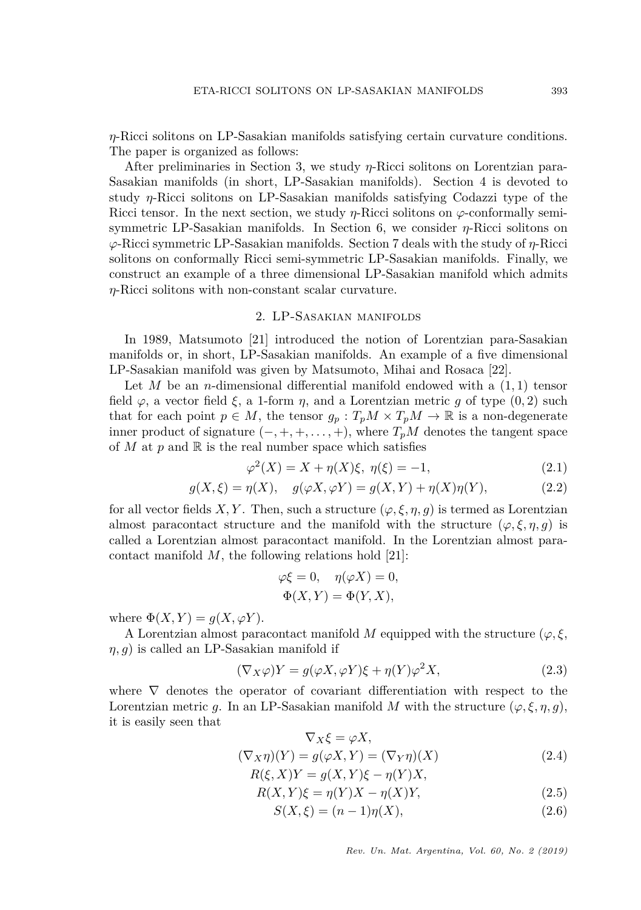*η*-Ricci solitons on LP-Sasakian manifolds satisfying certain curvature conditions. The paper is organized as follows:

After preliminaries in Section 3, we study *η*-Ricci solitons on Lorentzian para-Sasakian manifolds (in short, LP-Sasakian manifolds). Section 4 is devoted to study *η*-Ricci solitons on LP-Sasakian manifolds satisfying Codazzi type of the Ricci tensor. In the next section, we study  $\eta$ -Ricci solitons on  $\varphi$ -conformally semisymmetric LP-Sasakian manifolds. In Section 6, we consider *η*-Ricci solitons on *ϕ*-Ricci symmetric LP-Sasakian manifolds. Section 7 deals with the study of *η*-Ricci solitons on conformally Ricci semi-symmetric LP-Sasakian manifolds. Finally, we construct an example of a three dimensional LP-Sasakian manifold which admits *η*-Ricci solitons with non-constant scalar curvature.

## 2. LP-Sasakian manifolds

In 1989, Matsumoto [21] introduced the notion of Lorentzian para-Sasakian manifolds or, in short, LP-Sasakian manifolds. An example of a five dimensional LP-Sasakian manifold was given by Matsumoto, Mihai and Rosaca [22].

Let *M* be an *n*-dimensional differential manifold endowed with a (1*,* 1) tensor field  $\varphi$ , a vector field  $\xi$ , a 1-form  $\eta$ , and a Lorentzian metric g of type  $(0, 2)$  such that for each point  $p \in M$ , the tensor  $g_p : T_p M \times T_p M \to \mathbb{R}$  is a non-degenerate inner product of signature  $(-, +, +, \ldots, +)$ , where  $T_pM$  denotes the tangent space of  $M$  at  $p$  and  $\mathbb R$  is the real number space which satisfies

$$
\varphi^2(X) = X + \eta(X)\xi, \ \eta(\xi) = -1,\tag{2.1}
$$

$$
g(X,\xi) = \eta(X), \quad g(\varphi X, \varphi Y) = g(X,Y) + \eta(X)\eta(Y), \tag{2.2}
$$

for all vector fields *X,Y*. Then, such a structure  $(\varphi, \xi, \eta, g)$  is termed as Lorentzian almost paracontact structure and the manifold with the structure  $(\varphi, \xi, \eta, g)$  is called a Lorentzian almost paracontact manifold. In the Lorentzian almost paracontact manifold *M*, the following relations hold [21]:

$$
\varphi \xi = 0, \quad \eta(\varphi X) = 0,
$$
  

$$
\Phi(X, Y) = \Phi(Y, X),
$$

where  $\Phi(X, Y) = g(X, \varphi Y)$ .

A Lorentzian almost paracontact manifold M equipped with the structure  $(\varphi, \xi, \xi)$ *η, g*) is called an LP-Sasakian manifold if

$$
(\nabla_X \varphi)Y = g(\varphi X, \varphi Y)\xi + \eta(Y)\varphi^2 X,\tag{2.3}
$$

where  $\nabla$  denotes the operator of covariant differentiation with respect to the Lorentzian metric *g*. In an LP-Sasakian manifold *M* with the structure  $(\varphi, \xi, \eta, g)$ , it is easily seen that

$$
\nabla_X \xi = \varphi X,
$$
  
\n
$$
(\nabla_X \eta)(Y) = g(\varphi X, Y) = (\nabla_Y \eta)(X)
$$
  
\n
$$
R(\xi \cdot X)Y = g(X \cdot Y)\xi = n(Y)X
$$
\n(2.4)

$$
R(X,Y) = g(X,Y)S - \eta(Y)X,
$$
  
\n
$$
R(X,Y)\xi = \eta(Y)X - \eta(X)Y,
$$
\n(2.5)

$$
S(X,\xi) = (n-1)\eta(X),
$$
\n(2.6)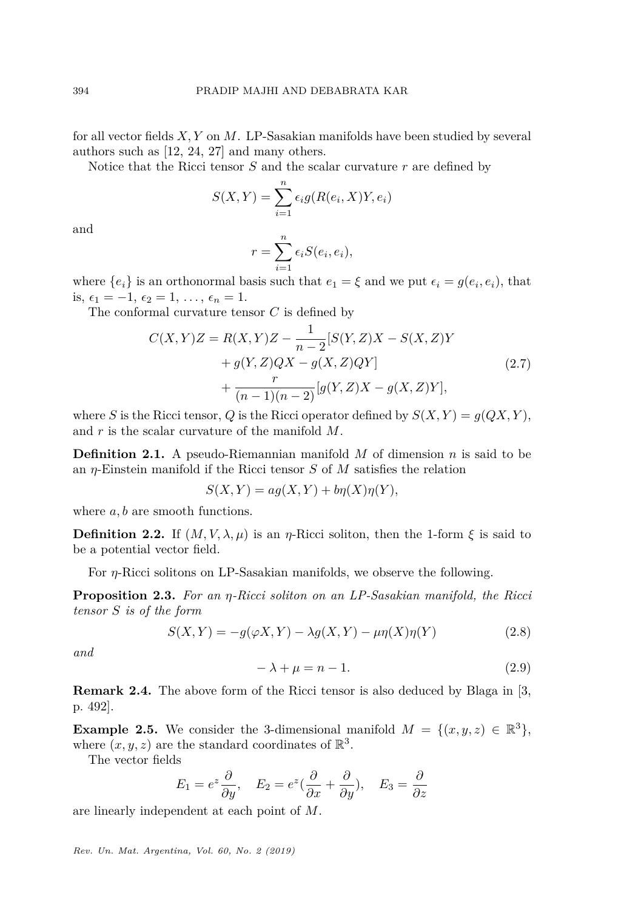for all vector fields *X, Y* on *M*. LP-Sasakian manifolds have been studied by several authors such as [12, 24, 27] and many others.

Notice that the Ricci tensor *S* and the scalar curvature *r* are defined by

$$
S(X,Y) = \sum_{i=1}^{n} \epsilon_i g(R(e_i, X)Y, e_i)
$$

and

$$
r = \sum_{i=1}^{n} \epsilon_i S(e_i, e_i),
$$

where  ${e_i}$  is an orthonormal basis such that  $e_1 = \xi$  and we put  $\epsilon_i = g(e_i, e_i)$ , that is,  $\epsilon_1 = -1$ ,  $\epsilon_2 = 1$ , ...,  $\epsilon_n = 1$ .

The conformal curvature tensor *C* is defined by

$$
C(X,Y)Z = R(X,Y)Z - \frac{1}{n-2}[S(Y,Z)X - S(X,Z)Y + g(Y,Z)QX - g(X,Z)QY] + \frac{r}{(n-1)(n-2)}[g(Y,Z)X - g(X,Z)Y],
$$
\n(2.7)

where *S* is the Ricci tensor, *Q* is the Ricci operator defined by  $S(X, Y) = g(QX, Y)$ , and *r* is the scalar curvature of the manifold *M*.

**Definition 2.1.** A pseudo-Riemannian manifold *M* of dimension *n* is said to be an *η*-Einstein manifold if the Ricci tensor *S* of *M* satisfies the relation

$$
S(X,Y) = ag(X,Y) + b\eta(X)\eta(Y),
$$

where  $a, b$  are smooth functions.

**Definition 2.2.** If  $(M, V, \lambda, \mu)$  is an *η*-Ricci soliton, then the 1-form  $\xi$  is said to be a potential vector field.

For *η*-Ricci solitons on LP-Sasakian manifolds, we observe the following.

**Proposition 2.3.** *For an η-Ricci soliton on an LP-Sasakian manifold, the Ricci tensor S is of the form*

$$
S(X,Y) = -g(\varphi X, Y) - \lambda g(X,Y) - \mu \eta(X)\eta(Y)
$$
\n(2.8)

*and*

$$
-\lambda + \mu = n - 1. \tag{2.9}
$$

**Remark 2.4.** The above form of the Ricci tensor is also deduced by Blaga in [3, p. 492].

**Example 2.5.** We consider the 3-dimensional manifold  $M = \{(x, y, z) \in \mathbb{R}^3\},\$ where  $(x, y, z)$  are the standard coordinates of  $\mathbb{R}^3$ .

The vector fields

$$
E_1 = e^z \frac{\partial}{\partial y}, \quad E_2 = e^z \left(\frac{\partial}{\partial x} + \frac{\partial}{\partial y}\right), \quad E_3 = \frac{\partial}{\partial z}
$$

are linearly independent at each point of *M*.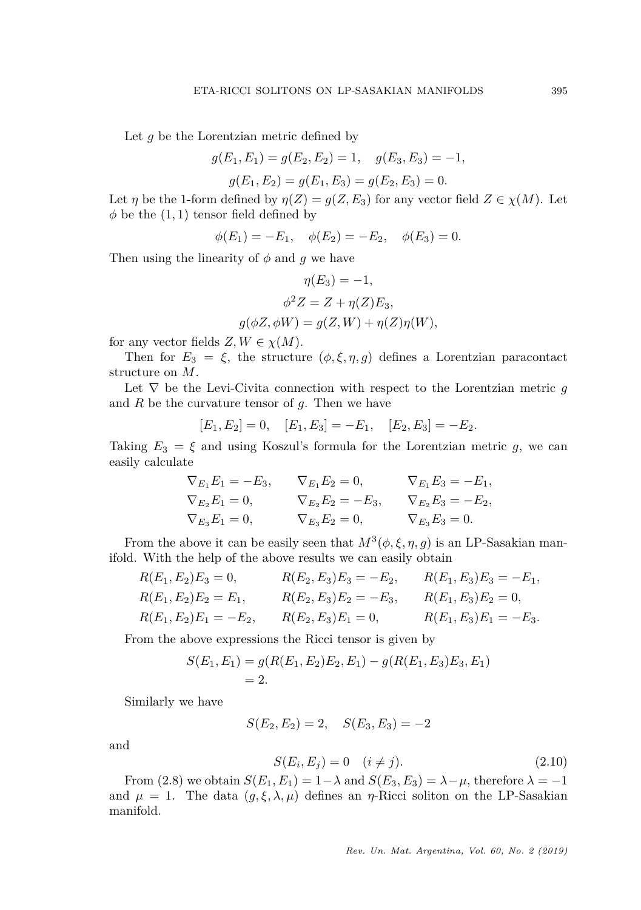Let *g* be the Lorentzian metric defined by

$$
g(E_1, E_1) = g(E_2, E_2) = 1, \quad g(E_3, E_3) = -1,
$$
  

$$
g(E_1, E_2) = g(E_1, E_3) = g(E_2, E_3) = 0.
$$

Let *η* be the 1-form defined by  $\eta(Z) = g(Z, E_3)$  for any vector field  $Z \in \chi(M)$ . Let  $\phi$  be the  $(1, 1)$  tensor field defined by

 $\phi(E_1) = -E_1$ ,  $\phi(E_2) = -E_2$ ,  $\phi(E_3) = 0$ .

Then using the linearity of  $\phi$  and  $q$  we have

$$
\eta(E_3) = -1,
$$
  
\n
$$
\phi^2 Z = Z + \eta(Z) E_3,
$$
  
\n
$$
g(\phi Z, \phi W) = g(Z, W) + \eta(Z) \eta(W),
$$

for any vector fields  $Z, W \in \chi(M)$ .

Then for  $E_3 = \xi$ , the structure  $(\phi, \xi, \eta, g)$  defines a Lorentzian paracontact structure on *M*.

Let  $\nabla$  be the Levi-Civita connection with respect to the Lorentzian metric  $g$ and *R* be the curvature tensor of *g*. Then we have

$$
[E_1, E_2] = 0, \quad [E_1, E_3] = -E_1, \quad [E_2, E_3] = -E_2.
$$

Taking  $E_3 = \xi$  and using Koszul's formula for the Lorentzian metric g, we can easily calculate

$$
\nabla_{E_1} E_1 = -E_3, \qquad \nabla_{E_1} E_2 = 0, \qquad \nabla_{E_1} E_3 = -E_1, \n\nabla_{E_2} E_1 = 0, \qquad \nabla_{E_2} E_2 = -E_3, \qquad \nabla_{E_2} E_3 = -E_2, \n\nabla_{E_3} E_1 = 0, \qquad \nabla_{E_3} E_2 = 0, \qquad \nabla_{E_3} E_3 = 0.
$$

From the above it can be easily seen that  $M^3(\phi, \xi, \eta, g)$  is an LP-Sasakian manifold. With the help of the above results we can easily obtain

$$
R(E_1, E_2)E_3 = 0, \t R(E_2, E_3)E_3 = -E_2, \t R(E_1, E_3)E_3 = -E_1,
$$
  
\n
$$
R(E_1, E_2)E_2 = E_1, \t R(E_2, E_3)E_2 = -E_3, \t R(E_1, E_3)E_2 = 0,
$$
  
\n
$$
R(E_1, E_2)E_1 = -E_2, \t R(E_2, E_3)E_1 = 0, \t R(E_1, E_3)E_1 = -E_3.
$$

From the above expressions the Ricci tensor is given by

$$
S(E_1, E_1) = g(R(E_1, E_2)E_2, E_1) - g(R(E_1, E_3)E_3, E_1)
$$
  
= 2.

Similarly we have

$$
S(E_2, E_2) = 2, \quad S(E_3, E_3) = -2
$$

and

$$
S(E_i, E_j) = 0 \quad (i \neq j). \tag{2.10}
$$

From (2.8) we obtain  $S(E_1, E_1) = 1 - \lambda$  and  $S(E_3, E_3) = \lambda - \mu$ , therefore  $\lambda = -1$ and  $\mu = 1$ . The data  $(g, \xi, \lambda, \mu)$  defines an *η*-Ricci soliton on the LP-Sasakian manifold.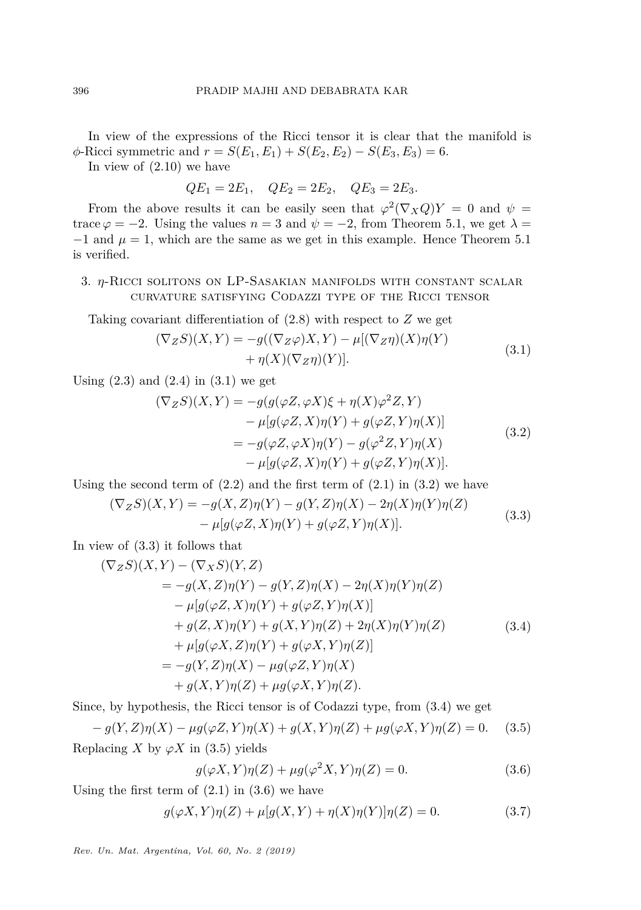In view of the expressions of the Ricci tensor it is clear that the manifold is  $\phi$ -Ricci symmetric and  $r = S(E_1, E_1) + S(E_2, E_2) - S(E_3, E_3) = 6.$ 

In view of (2.10) we have

$$
QE_1 = 2E_1
$$
,  $QE_2 = 2E_2$ ,  $QE_3 = 2E_3$ .

From the above results it can be easily seen that  $\varphi^2(\nabla_X Q)Y = 0$  and  $\psi =$ trace  $\varphi = -2$ . Using the values  $n = 3$  and  $\psi = -2$ , from Theorem 5.1, we get  $\lambda =$  $-1$  and  $\mu = 1$ , which are the same as we get in this example. Hence Theorem 5.1 is verified.

# 3. *η*-Ricci solitons on LP-Sasakian manifolds with constant scalar curvature satisfying Codazzi type of the Ricci tensor

Taking covariant differentiation of (2.8) with respect to *Z* we get

$$
(\nabla_Z S)(X,Y) = -g((\nabla_Z \varphi)X,Y) - \mu[(\nabla_Z \eta)(X)\eta(Y) + \eta(X)(\nabla_Z \eta)(Y)].
$$
\n(3.1)

Using  $(2.3)$  and  $(2.4)$  in  $(3.1)$  we get

$$
(\nabla_Z S)(X, Y) = -g(g(\varphi Z, \varphi X)\xi + \eta(X)\varphi^2 Z, Y) \n- \mu[g(\varphi Z, X)\eta(Y) + g(\varphi Z, Y)\eta(X)] \n= -g(\varphi Z, \varphi X)\eta(Y) - g(\varphi^2 Z, Y)\eta(X) \n- \mu[g(\varphi Z, X)\eta(Y) + g(\varphi Z, Y)\eta(X)].
$$
\n(3.2)

Using the second term of  $(2.2)$  and the first term of  $(2.1)$  in  $(3.2)$  we have

$$
(\nabla_Z S)(X,Y) = -g(X,Z)\eta(Y) - g(Y,Z)\eta(X) - 2\eta(X)\eta(Y)\eta(Z)
$$
  
- 
$$
\mu[g(\varphi Z, X)\eta(Y) + g(\varphi Z, Y)\eta(X)].
$$
 (3.3)

In view of (3.3) it follows that

(∇*ZS*)(*X, Y* ) − (∇*XS*)(*Y, Z*)

$$
(\nabla_Z S)(X, Y) - (\nabla_X S)(Y, Z)
$$
  
=  $-g(X, Z)\eta(Y) - g(Y, Z)\eta(X) - 2\eta(X)\eta(Y)\eta(Z)$   
 $- \mu[g(\varphi Z, X)\eta(Y) + g(\varphi Z, Y)\eta(X)]$   
 $+ g(Z, X)\eta(Y) + g(X, Y)\eta(Z) + 2\eta(X)\eta(Y)\eta(Z)$   
 $+ \mu[g(\varphi X, Z)\eta(Y) + g(\varphi X, Y)\eta(Z)]$   
=  $-g(Y, Z)\eta(X) - \mu g(\varphi Z, Y)\eta(X)$   
 $+ g(X, Y)\eta(Z) + \mu g(\varphi X, Y)\eta(Z).$  (3.4)

Since, by hypothesis, the Ricci tensor is of Codazzi type, from (3.4) we get

$$
- g(Y, Z)\eta(X) - \mu g(\varphi Z, Y)\eta(X) + g(X, Y)\eta(Z) + \mu g(\varphi X, Y)\eta(Z) = 0.
$$
 (3.5)

Replacing *X* by  $\varphi X$  in (3.5) yields

$$
g(\varphi X, Y)\eta(Z) + \mu g(\varphi^2 X, Y)\eta(Z) = 0.
$$
\n(3.6)

Using the first term of  $(2.1)$  in  $(3.6)$  we have

$$
g(\varphi X, Y)\eta(Z) + \mu[g(X, Y) + \eta(X)\eta(Y)]\eta(Z) = 0.
$$
 (3.7)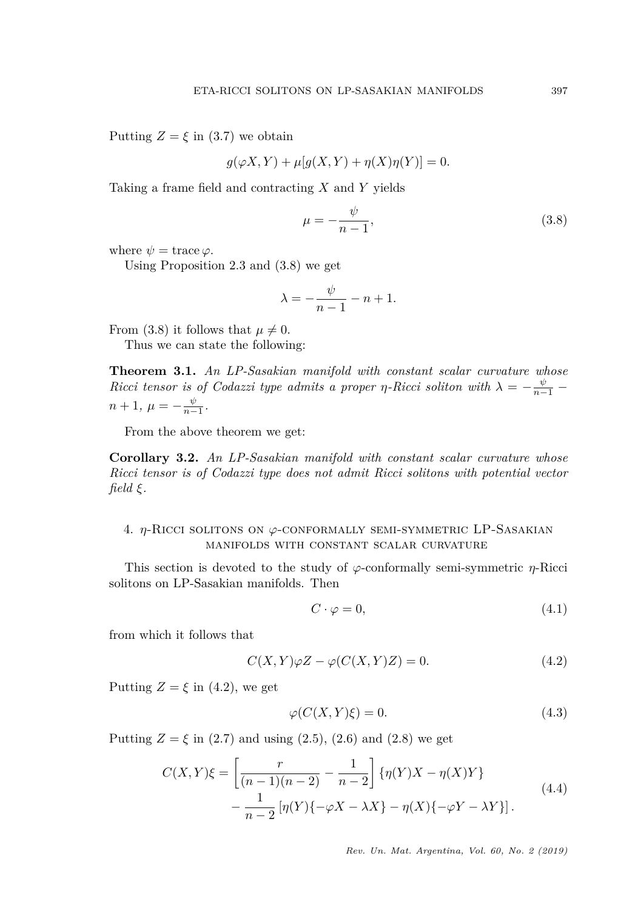Putting  $Z = \xi$  in (3.7) we obtain

$$
g(\varphi X, Y) + \mu[g(X, Y) + \eta(X)\eta(Y)] = 0.
$$

Taking a frame field and contracting *X* and *Y* yields

$$
\mu = -\frac{\psi}{n-1},\tag{3.8}
$$

where  $\psi = \text{trace }\varphi$ .

Using Proposition 2.3 and (3.8) we get

$$
\lambda = -\frac{\psi}{n-1} - n + 1.
$$

From (3.8) it follows that  $\mu \neq 0$ .

Thus we can state the following:

**Theorem 3.1.** *An LP-Sasakian manifold with constant scalar curvature whose Ricci tensor is of Codazzi type admits a proper <i>η*-Ricci soliton with  $\lambda = -\frac{\psi}{n-1}$  $n + 1, \mu = -\frac{\psi}{n-1}.$ 

From the above theorem we get:

**Corollary 3.2.** *An LP-Sasakian manifold with constant scalar curvature whose Ricci tensor is of Codazzi type does not admit Ricci solitons with potential vector field ξ.*

## 4. *η*-Ricci solitons on *ϕ*-conformally semi-symmetric LP-Sasakian manifolds with constant scalar curvature

This section is devoted to the study of *ϕ*-conformally semi-symmetric *η*-Ricci solitons on LP-Sasakian manifolds. Then

$$
C \cdot \varphi = 0,\tag{4.1}
$$

from which it follows that

$$
C(X,Y)\varphi Z - \varphi(C(X,Y)Z) = 0.
$$
\n(4.2)

Putting  $Z = \xi$  in (4.2), we get

$$
\varphi(C(X,Y)\xi) = 0.\tag{4.3}
$$

Putting  $Z = \xi$  in (2.7) and using (2.5), (2.6) and (2.8) we get

$$
C(X,Y)\xi = \left[\frac{r}{(n-1)(n-2)} - \frac{1}{n-2}\right] \{\eta(Y)X - \eta(X)Y\}
$$
  
 
$$
-\frac{1}{n-2}[\eta(Y)\{-\varphi X - \lambda X\} - \eta(X)\{-\varphi Y - \lambda Y\}].
$$
 (4.4)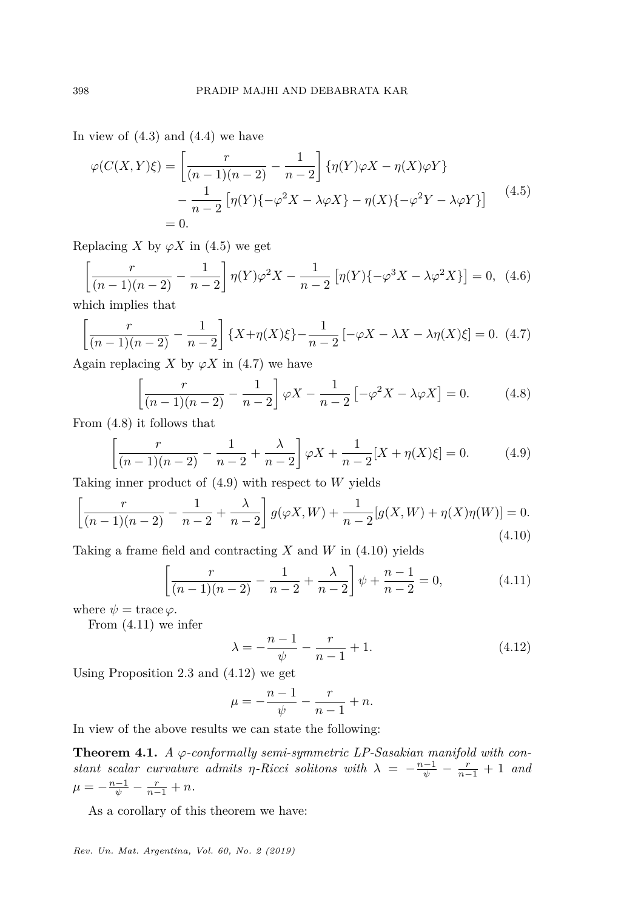In view of  $(4.3)$  and  $(4.4)$  we have

$$
\varphi(C(X,Y)\xi) = \left[\frac{r}{(n-1)(n-2)} - \frac{1}{n-2}\right] \left\{\eta(Y)\varphi X - \eta(X)\varphi Y\right\}
$$

$$
-\frac{1}{n-2} \left[\eta(Y)\{-\varphi^2 X - \lambda \varphi X\} - \eta(X)\{-\varphi^2 Y - \lambda \varphi Y\}\right] \tag{4.5}
$$

$$
= 0.
$$

Replacing *X* by  $\varphi X$  in (4.5) we get

$$
\left[\frac{r}{(n-1)(n-2)} - \frac{1}{n-2}\right] \eta(Y)\varphi^2 X - \frac{1}{n-2} \left[\eta(Y)\{-\varphi^3 X - \lambda \varphi^2 X\}\right] = 0, \tag{4.6}
$$

which implies that

$$
\left[\frac{r}{(n-1)(n-2)} - \frac{1}{n-2}\right] \{X + \eta(X)\xi\} - \frac{1}{n-2} \left[-\varphi X - \lambda X - \lambda \eta(X)\xi\right] = 0. \tag{4.7}
$$

Again replacing *X* by  $\varphi X$  in (4.7) we have

$$
\left[\frac{r}{(n-1)(n-2)} - \frac{1}{n-2}\right] \varphi X - \frac{1}{n-2} \left[-\varphi^2 X - \lambda \varphi X\right] = 0.
$$
 (4.8)

From (4.8) it follows that

$$
\left[\frac{r}{(n-1)(n-2)} - \frac{1}{n-2} + \frac{\lambda}{n-2}\right] \varphi X + \frac{1}{n-2} [X + \eta(X)\xi] = 0.
$$
 (4.9)

Taking inner product of (4.9) with respect to *W* yields

$$
\left[\frac{r}{(n-1)(n-2)} - \frac{1}{n-2} + \frac{\lambda}{n-2}\right] g(\varphi X, W) + \frac{1}{n-2} [g(X, W) + \eta(X)\eta(W)] = 0.
$$
\n(4.10)

Taking a frame field and contracting *X* and *W* in (4.10) yields

$$
\left[\frac{r}{(n-1)(n-2)} - \frac{1}{n-2} + \frac{\lambda}{n-2}\right]\psi + \frac{n-1}{n-2} = 0,
$$
\n(4.11)

where  $\psi = \text{trace }\varphi$ .

From (4.11) we infer

$$
\lambda = -\frac{n-1}{\psi} - \frac{r}{n-1} + 1.
$$
\n(4.12)

Using Proposition 2.3 and (4.12) we get

$$
\mu = -\frac{n-1}{\psi} - \frac{r}{n-1} + n.
$$

In view of the above results we can state the following:

**Theorem 4.1.** *A ϕ-conformally semi-symmetric LP-Sasakian manifold with constant scalar curvature admits η*-Ricci solitons with  $\lambda = -\frac{n-1}{\psi} - \frac{r}{n-1} + 1$  and  $\mu = -\frac{n-1}{\psi} - \frac{r}{n-1} + n.$ 

As a corollary of this theorem we have: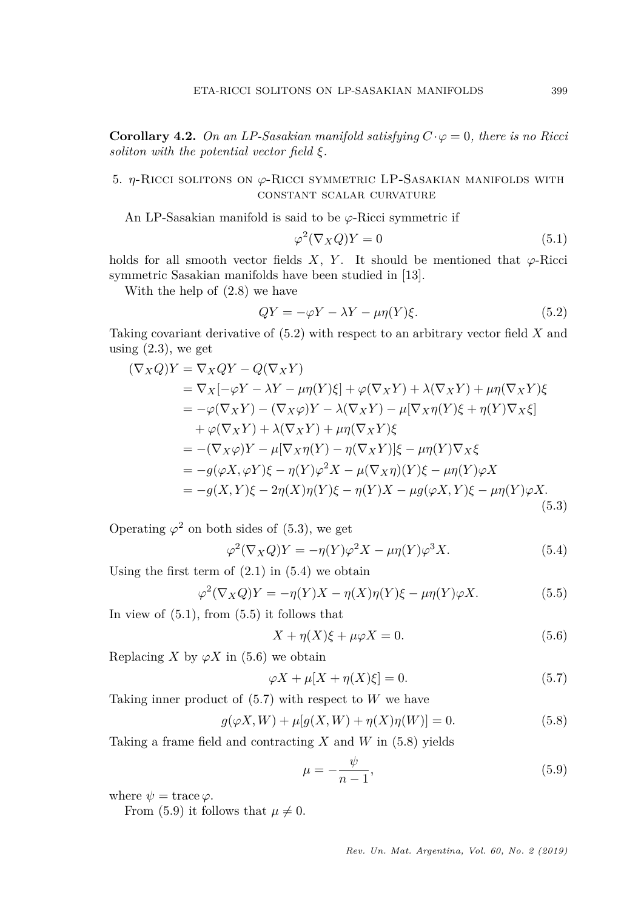**Corollary 4.2.** *On an LP-Sasakian manifold satisfying*  $C \cdot \varphi = 0$ *, there is no Ricci soliton with the potential vector field ξ.*

5.  $\eta$ -RICCI SOLITONS ON  $\varphi$ -RICCI SYMMETRIC LP-SASAKIAN MANIFOLDS WITH constant scalar curvature

An LP-Sasakian manifold is said to be *ϕ*-Ricci symmetric if

$$
\varphi^2(\nabla_X Q)Y = 0\tag{5.1}
$$

holds for all smooth vector fields *X*, *Y*. It should be mentioned that  $\varphi$ -Ricci symmetric Sasakian manifolds have been studied in [13].

With the help of (2.8) we have

$$
QY = -\varphi Y - \lambda Y - \mu \eta(Y)\xi.
$$
\n(5.2)

Taking covariant derivative of (5.2) with respect to an arbitrary vector field *X* and using  $(2.3)$ , we get

$$
(\nabla_X Q)Y = \nabla_X QY - Q(\nabla_X Y)
$$
  
=  $\nabla_X[-\varphi Y - \lambda Y - \mu\eta(Y)\xi] + \varphi(\nabla_X Y) + \lambda(\nabla_X Y) + \mu\eta(\nabla_X Y)\xi$   
=  $-\varphi(\nabla_X Y) - (\nabla_X \varphi)Y - \lambda(\nabla_X Y) - \mu[\nabla_X \eta(Y)\xi + \eta(Y)\nabla_X \xi]$   
+  $\varphi(\nabla_X Y) + \lambda(\nabla_X Y) + \mu\eta(\nabla_X Y)\xi$   
=  $-(\nabla_X \varphi)Y - \mu[\nabla_X \eta(Y) - \eta(\nabla_X Y)]\xi - \mu\eta(Y)\nabla_X \xi$   
=  $-g(\varphi X, \varphi Y)\xi - \eta(Y)\varphi^2 X - \mu(\nabla_X \eta)(Y)\xi - \mu\eta(Y)\varphi X$   
=  $-g(X, Y)\xi - 2\eta(X)\eta(Y)\xi - \eta(Y)X - \mu g(\varphi X, Y)\xi - \mu\eta(Y)\varphi X$ . (5.3)

Operating  $\varphi^2$  on both sides of (5.3), we get

$$
\varphi^2(\nabla_X Q)Y = -\eta(Y)\varphi^2 X - \mu\eta(Y)\varphi^3 X. \tag{5.4}
$$

Using the first term of  $(2.1)$  in  $(5.4)$  we obtain

$$
\varphi^2(\nabla_X Q)Y = -\eta(Y)X - \eta(X)\eta(Y)\xi - \mu\eta(Y)\varphi X.
$$
\n(5.5)

In view of  $(5.1)$ , from  $(5.5)$  it follows that

$$
X + \eta(X)\xi + \mu\varphi X = 0.
$$
\n(5.6)

Replacing *X* by  $\varphi X$  in (5.6) we obtain

$$
\varphi X + \mu[X + \eta(X)\xi] = 0. \tag{5.7}
$$

Taking inner product of (5.7) with respect to *W* we have

$$
g(\varphi X, W) + \mu[g(X, W) + \eta(X)\eta(W)] = 0.
$$
 (5.8)

Taking a frame field and contracting *X* and *W* in (5.8) yields

$$
\mu = -\frac{\psi}{n-1},\tag{5.9}
$$

where  $\psi = \text{trace }\varphi$ .

From (5.9) it follows that  $\mu \neq 0$ .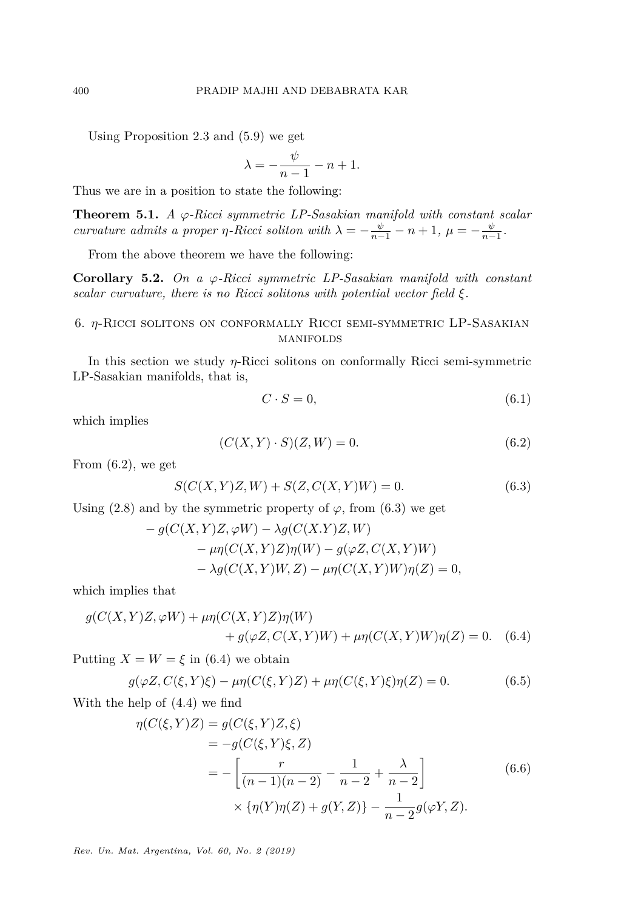Using Proposition 2.3 and (5.9) we get

$$
\lambda = -\frac{\psi}{n-1} - n + 1.
$$

Thus we are in a position to state the following:

**Theorem 5.1.** *A ϕ-Ricci symmetric LP-Sasakian manifold with constant scalar curvature admits a proper*  $\eta$ *-Ricci soliton with*  $\lambda = -\frac{\psi}{n-1} - n + 1$ *,*  $\mu = -\frac{\psi}{n-1}$ *.* 

From the above theorem we have the following:

**Corollary 5.2.** *On a ϕ-Ricci symmetric LP-Sasakian manifold with constant scalar curvature, there is no Ricci solitons with potential vector field ξ.*

## 6. *η*-Ricci solitons on conformally Ricci semi-symmetric LP-Sasakian **MANIFOLDS**

In this section we study *η*-Ricci solitons on conformally Ricci semi-symmetric LP-Sasakian manifolds, that is,

$$
C \cdot S = 0,\tag{6.1}
$$

which implies

$$
(C(X,Y)\cdot S)(Z,W) = 0.\t\t(6.2)
$$

From (6.2), we get

$$
S(C(X, Y)Z, W) + S(Z, C(X, Y)W) = 0.
$$
\n(6.3)

Using  $(2.8)$  and by the symmetric property of  $\varphi$ , from  $(6.3)$  we get

$$
- g(C(X, Y)Z, \varphi W) - \lambda g(C(X, Y)Z, W)
$$
  

$$
- \mu \eta (C(X, Y)Z) \eta(W) - g(\varphi Z, C(X, Y)W)
$$
  

$$
- \lambda g(C(X, Y)W, Z) - \mu \eta (C(X, Y)W) \eta(Z) = 0,
$$

which implies that

$$
g(C(X,Y)Z, \varphi W) + \mu \eta(C(X,Y)Z)\eta(W)
$$
  
+ 
$$
g(\varphi Z, C(X,Y)W) + \mu \eta(C(X,Y)W)\eta(Z) = 0.
$$
 (6.4)

Putting  $X = W = \xi$  in (6.4) we obtain

$$
g(\varphi Z, C(\xi, Y)\xi) - \mu \eta(C(\xi, Y)Z) + \mu \eta(C(\xi, Y)\xi)\eta(Z) = 0.
$$
 (6.5)

With the help of (4.4) we find

$$
\eta(C(\xi, Y)Z) = g(C(\xi, Y)Z, \xi)
$$
  
=  $-g(C(\xi, Y)\xi, Z)$   
=  $-\left[\frac{r}{(n-1)(n-2)} - \frac{1}{n-2} + \frac{\lambda}{n-2}\right]$  (6.6)  
 $\times \{\eta(Y)\eta(Z) + g(Y, Z)\} - \frac{1}{n-2}g(\varphi Y, Z).$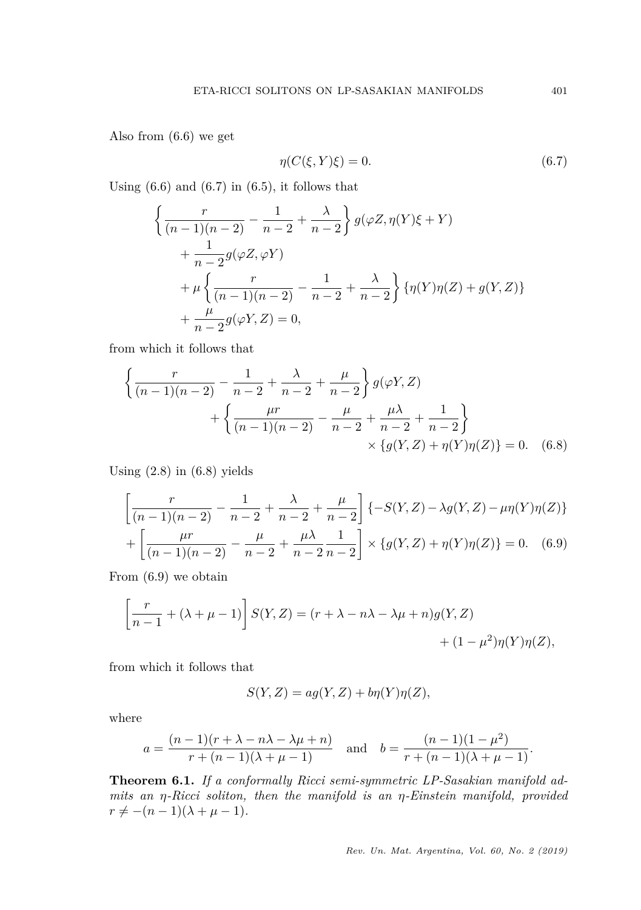Also from (6.6) we get

$$
\eta(C(\xi, Y)\xi) = 0.\tag{6.7}
$$

Using  $(6.6)$  and  $(6.7)$  in  $(6.5)$ , it follows that

$$
\begin{aligned}\n&\left\{\frac{r}{(n-1)(n-2)} - \frac{1}{n-2} + \frac{\lambda}{n-2}\right\} g(\varphi Z, \eta(Y)\xi + Y) \\
&+ \frac{1}{n-2} g(\varphi Z, \varphi Y) \\
&+ \mu \left\{\frac{r}{(n-1)(n-2)} - \frac{1}{n-2} + \frac{\lambda}{n-2}\right\} \left\{\eta(Y)\eta(Z) + g(Y, Z)\right\} \\
&+ \frac{\mu}{n-2} g(\varphi Y, Z) = 0,\n\end{aligned}
$$

from which it follows that

$$
\begin{aligned} \left\{ \frac{r}{(n-1)(n-2)} - \frac{1}{n-2} + \frac{\lambda}{n-2} + \frac{\mu}{n-2} \right\} g(\varphi Y, Z) \\ + \left\{ \frac{\mu r}{(n-1)(n-2)} - \frac{\mu}{n-2} + \frac{\mu \lambda}{n-2} + \frac{1}{n-2} \right\} \\ \times \left\{ g(Y, Z) + \eta(Y)\eta(Z) \right\} &= 0. \quad (6.8) \end{aligned}
$$

Using  $(2.8)$  in  $(6.8)$  yields

$$
\left[\frac{r}{(n-1)(n-2)} - \frac{1}{n-2} + \frac{\lambda}{n-2} + \frac{\mu}{n-2}\right] \{-S(Y,Z) - \lambda g(Y,Z) - \mu \eta(Y)\eta(Z)\}
$$

$$
+ \left[\frac{\mu r}{(n-1)(n-2)} - \frac{\mu}{n-2} + \frac{\mu\lambda}{n-2} \frac{1}{n-2}\right] \times \{g(Y,Z) + \eta(Y)\eta(Z)\} = 0. \quad (6.9)
$$

From (6.9) we obtain

$$
\left[\frac{r}{n-1} + (\lambda + \mu - 1)\right] S(Y, Z) = (r + \lambda - n\lambda - \lambda\mu + n)g(Y, Z)
$$

$$
+ (1 - \mu^2)\eta(Y)\eta(Z),
$$

from which it follows that

$$
S(Y, Z) = ag(Y, Z) + b\eta(Y)\eta(Z),
$$

where

$$
a = \frac{(n-1)(r + \lambda - n\lambda - \lambda\mu + n)}{r + (n-1)(\lambda + \mu - 1)} \quad \text{and} \quad b = \frac{(n-1)(1 - \mu^2)}{r + (n-1)(\lambda + \mu - 1)}.
$$

**Theorem 6.1.** *If a conformally Ricci semi-symmetric LP-Sasakian manifold admits an η-Ricci soliton, then the manifold is an η-Einstein manifold, provided*  $r \neq -(n-1)(\lambda + \mu - 1).$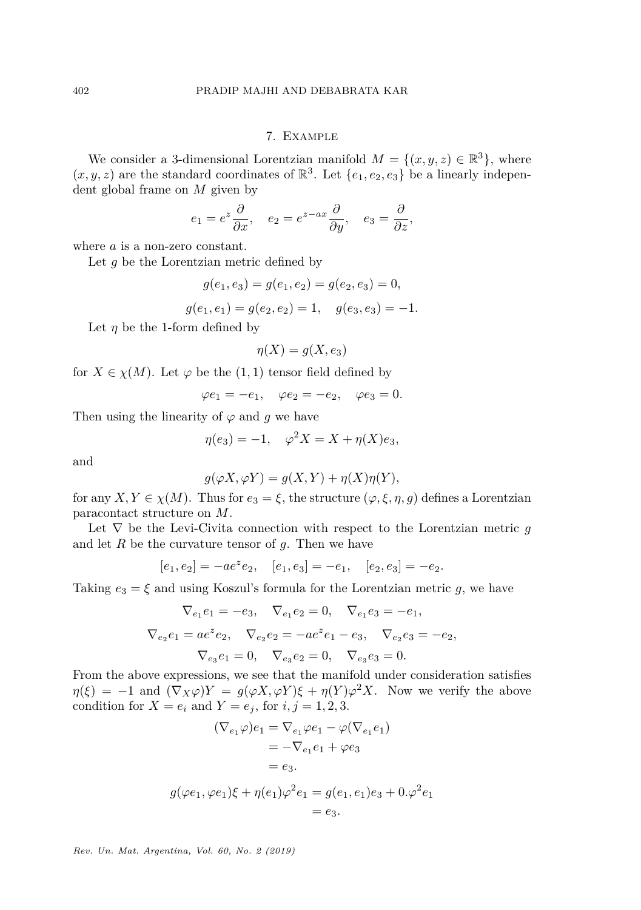#### 7. Example

We consider a 3-dimensional Lorentzian manifold  $M = \{(x, y, z) \in \mathbb{R}^3\}$ , where  $(x, y, z)$  are the standard coordinates of  $\mathbb{R}^3$ . Let  $\{e_1, e_2, e_3\}$  be a linearly independent global frame on *M* given by

$$
e_1 = e^z \frac{\partial}{\partial x}, \quad e_2 = e^{z - ax} \frac{\partial}{\partial y}, \quad e_3 = \frac{\partial}{\partial z},
$$

where *a* is a non-zero constant.

Let *g* be the Lorentzian metric defined by

$$
g(e_1, e_3) = g(e_1, e_2) = g(e_2, e_3) = 0,
$$

 $g(e_1, e_1) = g(e_2, e_2) = 1, \quad g(e_3, e_3) = -1.$ 

Let *η* be the 1-form defined by

$$
\eta(X) = g(X, e_3)
$$

for  $X \in \chi(M)$ . Let  $\varphi$  be the  $(1,1)$  tensor field defined by

$$
\varphi e_1 = -e_1, \quad \varphi e_2 = -e_2, \quad \varphi e_3 = 0.
$$

Then using the linearity of  $\varphi$  and  $\tilde{g}$  we have

$$
\eta(e_3) = -1, \quad \varphi^2 X = X + \eta(X)e_3,
$$

and

$$
g(\varphi X, \varphi Y) = g(X, Y) + \eta(X)\eta(Y),
$$

for any  $X, Y \in \chi(M)$ . Thus for  $e_3 = \xi$ , the structure  $(\varphi, \xi, \eta, g)$  defines a Lorentzian paracontact structure on *M*.

Let  $\nabla$  be the Levi-Civita connection with respect to the Lorentzian metric  $g$ and let *R* be the curvature tensor of *g*. Then we have

$$
[e_1, e_2] = -ae^z e_2
$$
,  $[e_1, e_3] = -e_1$ ,  $[e_2, e_3] = -e_2$ .

Taking  $e_3 = \xi$  and using Koszul's formula for the Lorentzian metric *g*, we have

$$
\nabla_{e_1} e_1 = -e_3, \quad \nabla_{e_1} e_2 = 0, \quad \nabla_{e_1} e_3 = -e_1,
$$
  

$$
\nabla_{e_2} e_1 = a e^z e_2, \quad \nabla_{e_2} e_2 = -a e^z e_1 - e_3, \quad \nabla_{e_2} e_3 = -e_2,
$$
  

$$
\nabla_{e_3} e_1 = 0, \quad \nabla_{e_3} e_2 = 0, \quad \nabla_{e_3} e_3 = 0.
$$

From the above expressions, we see that the manifold under consideration satisfies  $\eta(\xi) = -1$  and  $(\nabla_X \varphi)Y = g(\varphi X, \varphi Y)\xi + \eta(Y)\varphi^2 X$ . Now we verify the above condition for  $X = e_i$  and  $Y = e_j$ , for  $i, j = 1, 2, 3$ .

$$
(\nabla_{e_1}\varphi)e_1 = \nabla_{e_1}\varphi e_1 - \varphi(\nabla_{e_1}e_1)
$$
  
\n
$$
= -\nabla_{e_1}e_1 + \varphi e_3
$$
  
\n
$$
= e_3.
$$
  
\n
$$
g(\varphi e_1, \varphi e_1)\xi + \eta(e_1)\varphi^2 e_1 = g(e_1, e_1)e_3 + 0.\varphi^2 e_1
$$
  
\n
$$
= e_3.
$$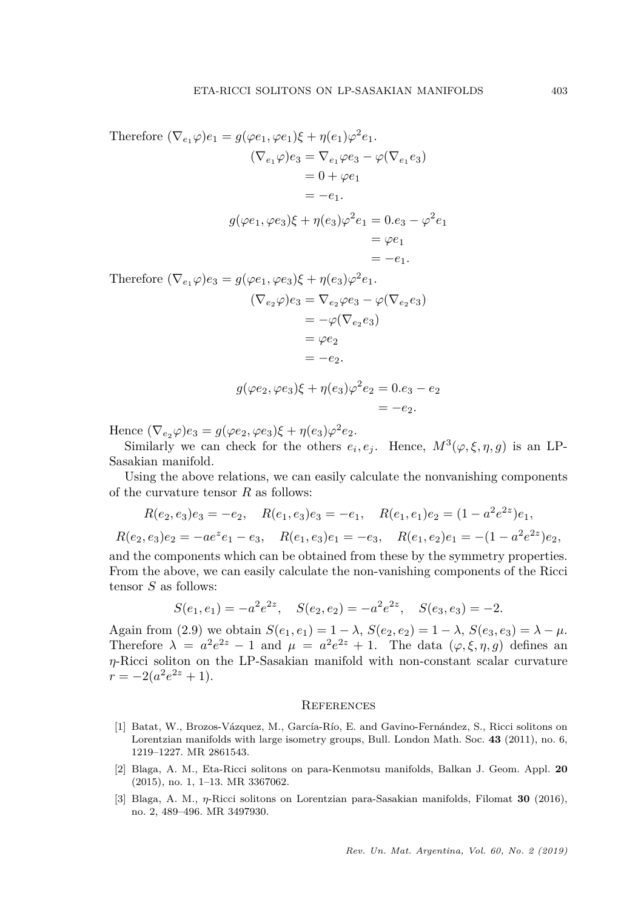Therefore 
$$
(\nabla_{e_1}\varphi)e_1 = g(\varphi e_1, \varphi e_1)\xi + \eta(e_1)\varphi^2 e_1.
$$
  
\n
$$
(\nabla_{e_1}\varphi)e_3 = \nabla_{e_1}\varphi e_3 - \varphi(\nabla_{e_1}e_3)
$$
\n
$$
= 0 + \varphi e_1
$$
\n
$$
= -e_1.
$$
\n
$$
g(\varphi e_1, \varphi e_3)\xi + \eta(e_3)\varphi^2 e_1 = 0.e_3 - \varphi^2 e_1
$$
\n
$$
= \varphi e_1
$$
\n
$$
= -e_1.
$$
\nTherefore  $(\nabla_{e_1}\varphi)e_3 = g(\varphi e_1, \varphi e_3)\xi + \eta(e_3)\varphi^2 e_1.$ \n
$$
(\nabla_{e_2}\varphi)e_3 = \nabla_{e_2}\varphi e_3 - \varphi(\nabla_{e_2}e_3)
$$
\n
$$
= -\varphi(\nabla_{e_2}e_3)
$$
\n
$$
= \varphi e_2
$$
\n
$$
= -e_2.
$$
\n
$$
g(\varphi e_2, \varphi e_3)\xi + \eta(e_3)\varphi^2 e_2 = 0.e_3 - e_2
$$

Hence  $(\nabla_{e_2} \varphi) e_3 = g(\varphi e_2, \varphi e_3) \xi + \eta(e_3) \varphi^2 e_2.$ 

Similarly we can check for the others  $e_i, e_j$ . Hence,  $M^3(\varphi, \xi, \eta, g)$  is an LP-Sasakian manifold.

 $=-e_2.$ 

Using the above relations, we can easily calculate the nonvanishing components of the curvature tensor *R* as follows:

$$
R(e_2, e_3)e_3 = -e_2, \quad R(e_1, e_3)e_3 = -e_1, \quad R(e_1, e_1)e_2 = (1 - a^2 e^{2z})e_1,
$$
  

$$
R(e_2, e_3)e_2 = -ae^z e_1 - e_3, \quad R(e_1, e_3)e_1 = -e_3, \quad R(e_1, e_2)e_1 = -(1 - a^2 e^{2z})e_2,
$$

and the components which can be obtained from these by the symmetry properties. From the above, we can easily calculate the non-vanishing components of the Ricci tensor *S* as follows:

$$
S(e_1, e_1) = -a^2 e^{2z}
$$
,  $S(e_2, e_2) = -a^2 e^{2z}$ ,  $S(e_3, e_3) = -2$ .

Again from (2.9) we obtain  $S(e_1, e_1) = 1 - \lambda$ ,  $S(e_2, e_2) = 1 - \lambda$ ,  $S(e_3, e_3) = \lambda - \mu$ . Therefore  $\lambda = a^2 e^{2z} - 1$  and  $\mu = a^2 e^{2z} + 1$ . The data  $(\varphi, \xi, \eta, g)$  defines an *η*-Ricci soliton on the LP-Sasakian manifold with non-constant scalar curvature  $r = -2(a^2e^{2z} + 1).$ 

#### **REFERENCES**

- [1] Batat, W., Brozos-Vázquez, M., García-Río, E. and Gavino-Fernández, S., Ricci solitons on Lorentzian manifolds with large isometry groups, Bull. London Math. Soc. **43** (2011), no. 6, 1219–1227. MR 2861543.
- [2] Blaga, A. M., Eta-Ricci solitons on para-Kenmotsu manifolds, Balkan J. Geom. Appl. **20** (2015), no. 1, 1–13. MR 3367062.
- [3] Blaga, A. M., *η*-Ricci solitons on Lorentzian para-Sasakian manifolds, Filomat **30** (2016), no. 2, 489–496. MR 3497930.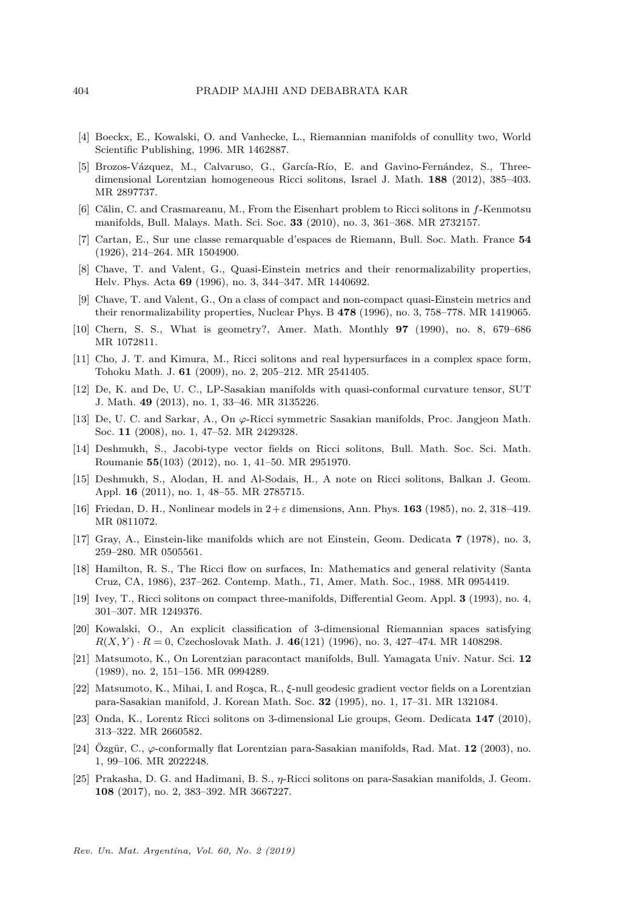- [4] Boeckx, E., Kowalski, O. and Vanhecke, L., Riemannian manifolds of conullity two, World Scientific Publishing, 1996. MR 1462887.
- [5] Brozos-Vázquez, M., Calvaruso, G., García-Río, E. and Gavino-Fernández, S., Threedimensional Lorentzian homogeneous Ricci solitons, Israel J. Math. **188** (2012), 385–403. MR 2897737.
- [6] C˘alin, C. and Crasmareanu, M., From the Eisenhart problem to Ricci solitons in *f*-Kenmotsu manifolds, Bull. Malays. Math. Sci. Soc. **33** (2010), no. 3, 361–368. MR 2732157.
- [7] Cartan, E., Sur une classe remarquable d'espaces de Riemann, Bull. Soc. Math. France **54** (1926), 214–264. MR 1504900.
- [8] Chave, T. and Valent, G., Quasi-Einstein metrics and their renormalizability properties, Helv. Phys. Acta **69** (1996), no. 3, 344–347. MR 1440692.
- [9] Chave, T. and Valent, G., On a class of compact and non-compact quasi-Einstein metrics and their renormalizability properties, Nuclear Phys. B **478** (1996), no. 3, 758–778. MR 1419065.
- [10] Chern, S. S., What is geometry?, Amer. Math. Monthly **97** (1990), no. 8, 679–686 MR 1072811.
- [11] Cho, J. T. and Kimura, M., Ricci solitons and real hypersurfaces in a complex space form, Tohoku Math. J. **61** (2009), no. 2, 205–212. MR 2541405.
- [12] De, K. and De, U. C., LP-Sasakian manifolds with quasi-conformal curvature tensor, SUT J. Math. **49** (2013), no. 1, 33–46. MR 3135226.
- [13] De, U. C. and Sarkar, A., On *ϕ*-Ricci symmetric Sasakian manifolds, Proc. Jangjeon Math. Soc. **11** (2008), no. 1, 47–52. MR 2429328.
- [14] Deshmukh, S., Jacobi-type vector fields on Ricci solitons, Bull. Math. Soc. Sci. Math. Roumanie **55**(103) (2012), no. 1, 41–50. MR 2951970.
- [15] Deshmukh, S., Alodan, H. and Al-Sodais, H., A note on Ricci solitons, Balkan J. Geom. Appl. **16** (2011), no. 1, 48–55. MR 2785715.
- [16] Friedan, D. H., Nonlinear models in 2+*ε* dimensions, Ann. Phys. **163** (1985), no. 2, 318–419. MR 0811072.
- [17] Gray, A., Einstein-like manifolds which are not Einstein, Geom. Dedicata **7** (1978), no. 3, 259–280. MR 0505561.
- [18] Hamilton, R. S., The Ricci flow on surfaces, In: Mathematics and general relativity (Santa Cruz, CA, 1986), 237–262. Contemp. Math., 71, Amer. Math. Soc., 1988. MR 0954419.
- [19] Ivey, T., Ricci solitons on compact three-manifolds, Differential Geom. Appl. **3** (1993), no. 4, 301–307. MR 1249376.
- [20] Kowalski, O., An explicit classification of 3-dimensional Riemannian spaces satisfying  $R(X, Y) \cdot R = 0$ , Czechoslovak Math. J. 46(121) (1996), no. 3, 427–474. MR 1408298.
- [21] Matsumoto, K., On Lorentzian paracontact manifolds, Bull. Yamagata Univ. Natur. Sci. **12** (1989), no. 2, 151–156. MR 0994289.
- [22] Matsumoto, K., Mihai, I. and Roşca, R.,  $\xi$ -null geodesic gradient vector fields on a Lorentzian para-Sasakian manifold, J. Korean Math. Soc. **32** (1995), no. 1, 17–31. MR 1321084.
- [23] Onda, K., Lorentz Ricci solitons on 3-dimensional Lie groups, Geom. Dedicata **147** (2010), 313–322. MR 2660582.
- [24]  $\ddot{O}z$ gür, C.,  $\varphi$ -conformally flat Lorentzian para-Sasakian manifolds, Rad. Mat. **12** (2003), no. 1, 99–106. MR 2022248.
- [25] Prakasha, D. G. and Hadimani, B. S., *η*-Ricci solitons on para-Sasakian manifolds, J. Geom. **108** (2017), no. 2, 383–392. MR 3667227.